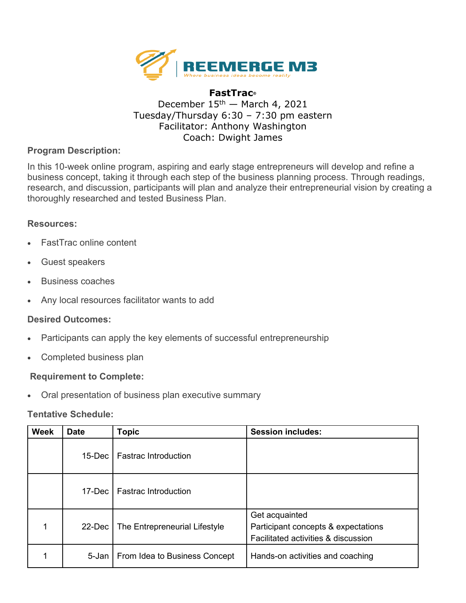

# **FastTrac®** December  $15<sup>th</sup>$  – March 4, 2021 Tuesday/Thursday 6:30 – 7:30 pm eastern Facilitator: Anthony Washington Coach: Dwight James

# **Program Description:**

In this 10-week online program, aspiring and early stage entrepreneurs will develop and refine a business concept, taking it through each step of the business planning process. Through readings, research, and discussion, participants will plan and analyze their entrepreneurial vision by creating a thoroughly researched and tested Business Plan.

### **Resources:**

- FastTrac online content
- Guest speakers
- Business coaches
- Any local resources facilitator wants to add

### **Desired Outcomes:**

- Participants can apply the key elements of successful entrepreneurship
- Completed business plan

### **Requirement to Complete:**

• Oral presentation of business plan executive summary

### **Tentative Schedule:**

| <b>Week</b> | <b>Date</b> | <b>Topic</b>                  | <b>Session includes:</b>                                                                     |
|-------------|-------------|-------------------------------|----------------------------------------------------------------------------------------------|
|             | $15$ -Dec   | <b>Fastrac Introduction</b>   |                                                                                              |
|             | $17$ -Dec   | <b>Fastrac Introduction</b>   |                                                                                              |
|             | 22-Dec      | The Entrepreneurial Lifestyle | Get acquainted<br>Participant concepts & expectations<br>Facilitated activities & discussion |
|             | 5-Jan       | From Idea to Business Concept | Hands-on activities and coaching                                                             |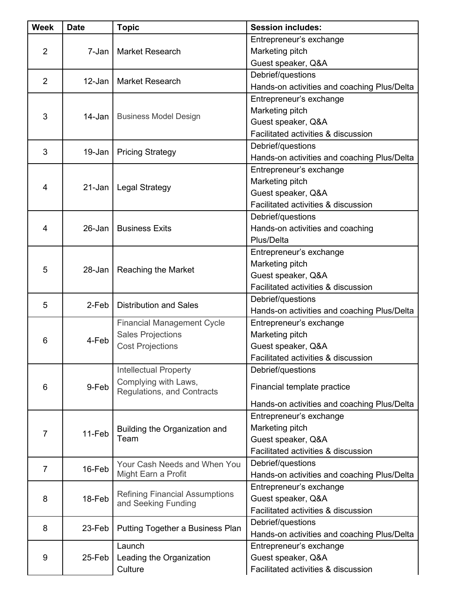| <b>Week</b>    | <b>Date</b> | <b>Topic</b>                                                                             | <b>Session includes:</b>                    |
|----------------|-------------|------------------------------------------------------------------------------------------|---------------------------------------------|
| $\overline{2}$ |             |                                                                                          | Entrepreneur's exchange                     |
|                | 7-Jan       | <b>Market Research</b>                                                                   | Marketing pitch                             |
|                |             |                                                                                          | Guest speaker, Q&A                          |
| 2              |             |                                                                                          | Debrief/questions                           |
|                | 12-Jan      | <b>Market Research</b>                                                                   | Hands-on activities and coaching Plus/Delta |
| 3              | 14-Jan      | <b>Business Model Design</b>                                                             | Entrepreneur's exchange                     |
|                |             |                                                                                          | Marketing pitch                             |
|                |             |                                                                                          | Guest speaker, Q&A                          |
|                |             |                                                                                          | Facilitated activities & discussion         |
| 3              | 19-Jan      | <b>Pricing Strategy</b>                                                                  | Debrief/questions                           |
|                |             |                                                                                          | Hands-on activities and coaching Plus/Delta |
|                | 21-Jan      | <b>Legal Strategy</b>                                                                    | Entrepreneur's exchange                     |
|                |             |                                                                                          | Marketing pitch                             |
| 4              |             |                                                                                          | Guest speaker, Q&A                          |
|                |             |                                                                                          | Facilitated activities & discussion         |
|                |             |                                                                                          | Debrief/questions                           |
| 4              | $26 - Jan$  | <b>Business Exits</b>                                                                    | Hands-on activities and coaching            |
|                |             |                                                                                          | Plus/Delta                                  |
|                | 28-Jan      | Reaching the Market                                                                      | Entrepreneur's exchange                     |
|                |             |                                                                                          | Marketing pitch                             |
| 5              |             |                                                                                          | Guest speaker, Q&A                          |
|                |             |                                                                                          | Facilitated activities & discussion         |
|                | 2-Feb       | <b>Distribution and Sales</b>                                                            | Debrief/questions                           |
| 5              |             |                                                                                          | Hands-on activities and coaching Plus/Delta |
|                | 4-Feb       | <b>Financial Management Cycle</b><br><b>Sales Projections</b><br><b>Cost Projections</b> | Entrepreneur's exchange                     |
|                |             |                                                                                          | Marketing pitch                             |
| 6              |             |                                                                                          | Guest speaker, Q&A                          |
|                |             |                                                                                          | Facilitated activities & discussion         |
|                | 9-Feb       | <b>Intellectual Property</b>                                                             | Debrief/questions                           |
| 6              |             | Complying with Laws,<br>Regulations, and Contracts                                       | Financial template practice                 |
|                |             |                                                                                          |                                             |
|                |             |                                                                                          | Hands-on activities and coaching Plus/Delta |
|                | 11-Feb      | Building the Organization and<br>Team                                                    | Entrepreneur's exchange                     |
| $\overline{7}$ |             |                                                                                          | Marketing pitch                             |
|                |             |                                                                                          | Guest speaker, Q&A                          |
|                |             |                                                                                          | Facilitated activities & discussion         |
| $\overline{7}$ | 16-Feb      | Your Cash Needs and When You                                                             | Debrief/questions                           |
|                |             | Might Earn a Profit                                                                      | Hands-on activities and coaching Plus/Delta |
|                | 18-Feb      | <b>Refining Financial Assumptions</b><br>and Seeking Funding                             | Entrepreneur's exchange                     |
| 8              |             |                                                                                          | Guest speaker, Q&A                          |
|                |             |                                                                                          | Facilitated activities & discussion         |
| 8              | 23-Feb      | Putting Together a Business Plan                                                         | Debrief/questions                           |
|                |             |                                                                                          | Hands-on activities and coaching Plus/Delta |
| 9              | 25-Feb      | Launch<br>Leading the Organization<br>Culture                                            | Entrepreneur's exchange                     |
|                |             |                                                                                          | Guest speaker, Q&A                          |
|                |             |                                                                                          | Facilitated activities & discussion         |